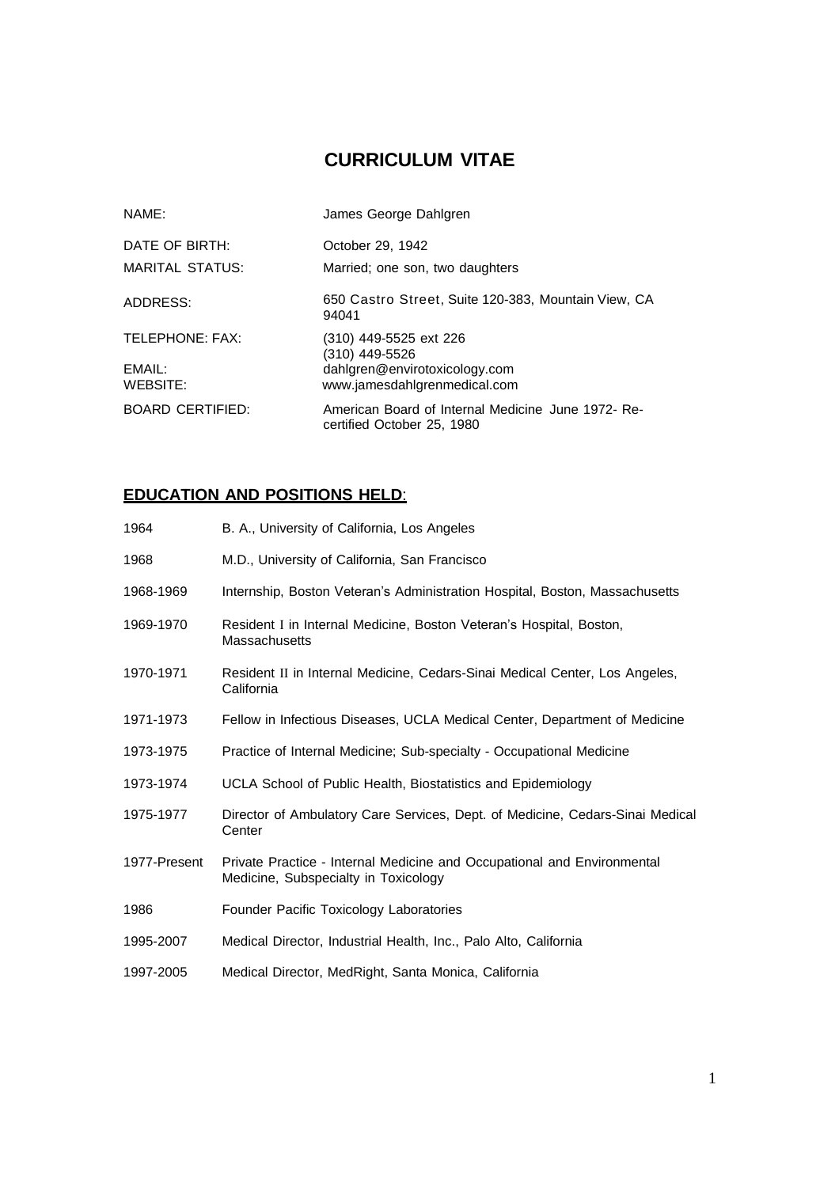# **CURRICULUM VITAE**

| NAME:                                 | James George Dahlgren                                                                                     |
|---------------------------------------|-----------------------------------------------------------------------------------------------------------|
| DATE OF BIRTH:<br>MARITAL STATUS:     | October 29, 1942<br>Married; one son, two daughters                                                       |
| ADDRESS:                              | 650 Castro Street, Suite 120-383, Mountain View, CA<br>94041                                              |
| TELEPHONE: FAX:<br>EMAIL:<br>WEBSITE: | (310) 449-5525 ext 226<br>(310) 449-5526<br>dahlgren@envirotoxicology.com<br>www.jamesdahlgrenmedical.com |
| <b>BOARD CERTIFIED:</b>               | American Board of Internal Medicine June 1972- Re-<br>certified October 25, 1980                          |

## **EDUCATION AND POSITIONS HELD**:

| 1964         | B. A., University of California, Los Angeles                                                                    |
|--------------|-----------------------------------------------------------------------------------------------------------------|
| 1968         | M.D., University of California, San Francisco                                                                   |
| 1968-1969    | Internship, Boston Veteran's Administration Hospital, Boston, Massachusetts                                     |
| 1969-1970    | Resident I in Internal Medicine, Boston Veteran's Hospital, Boston,<br><b>Massachusetts</b>                     |
| 1970-1971    | Resident II in Internal Medicine, Cedars-Sinai Medical Center, Los Angeles,<br>California                       |
| 1971-1973    | Fellow in Infectious Diseases, UCLA Medical Center, Department of Medicine                                      |
| 1973-1975    | Practice of Internal Medicine; Sub-specialty - Occupational Medicine                                            |
| 1973-1974    | UCLA School of Public Health, Biostatistics and Epidemiology                                                    |
| 1975-1977    | Director of Ambulatory Care Services, Dept. of Medicine, Cedars-Sinai Medical<br>Center                         |
| 1977-Present | Private Practice - Internal Medicine and Occupational and Environmental<br>Medicine, Subspecialty in Toxicology |
| 1986         | Founder Pacific Toxicology Laboratories                                                                         |
| 1995-2007    | Medical Director, Industrial Health, Inc., Palo Alto, California                                                |
| 1997-2005    | Medical Director, MedRight, Santa Monica, California                                                            |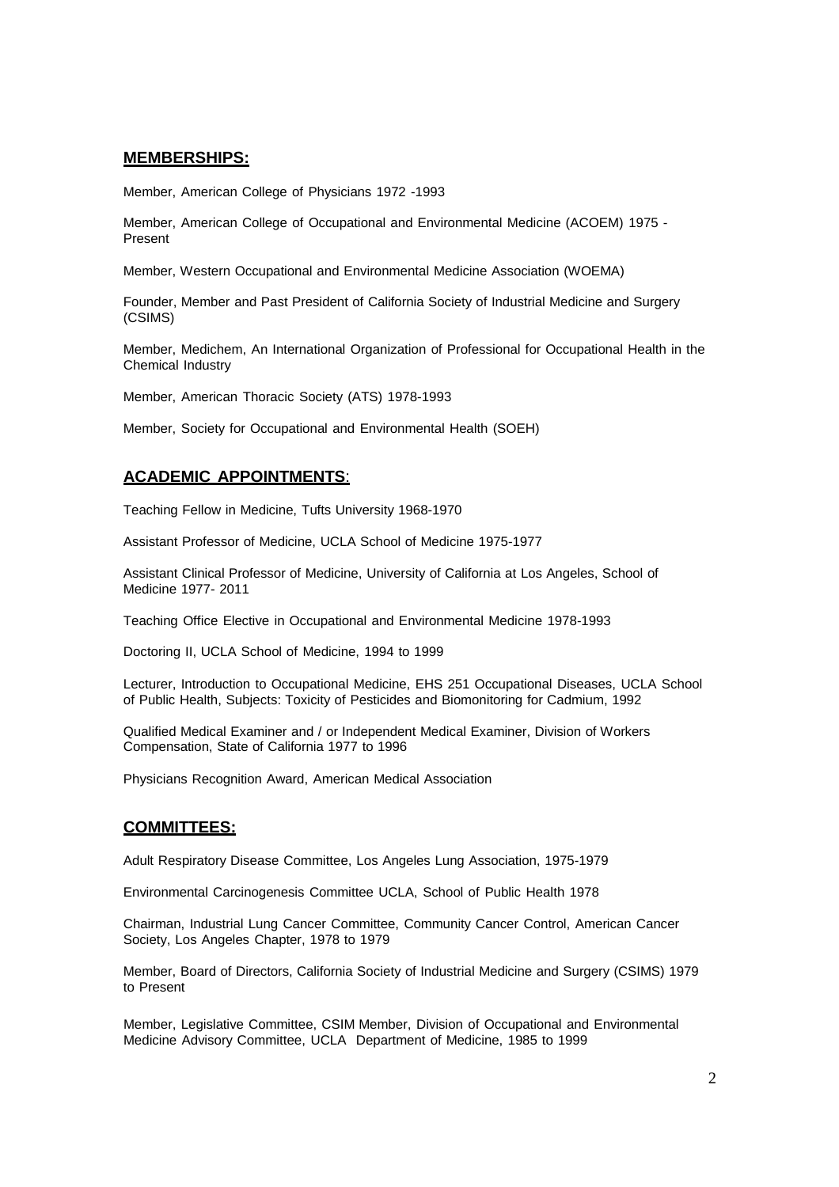#### **MEMBERSHIPS:**

Member, American College of Physicians 1972 -1993

Member, American College of Occupational and Environmental Medicine (ACOEM) 1975 - Present

Member, Western Occupational and Environmental Medicine Association (WOEMA)

Founder, Member and Past President of California Society of Industrial Medicine and Surgery (CSIMS)

Member, Medichem, An International Organization of Professional for Occupational Health in the Chemical Industry

Member, American Thoracic Society (ATS) 1978-1993

Member, Society for Occupational and Environmental Health (SOEH)

### **ACADEMIC APPOINTMENTS**:

Teaching Fellow in Medicine, Tufts University 1968-1970

Assistant Professor of Medicine, UCLA School of Medicine 1975-1977

Assistant Clinical Professor of Medicine, University of California at Los Angeles, School of Medicine 1977- 2011

Teaching Office Elective in Occupational and Environmental Medicine 1978-1993

Doctoring II, UCLA School of Medicine, 1994 to 1999

Lecturer, Introduction to Occupational Medicine, EHS 251 Occupational Diseases, UCLA School of Public Health, Subjects: Toxicity of Pesticides and Biomonitoring for Cadmium, 1992

Qualified Medical Examiner and / or Independent Medical Examiner, Division of Workers Compensation, State of California 1977 to 1996

Physicians Recognition Award, American Medical Association

#### **COMMITTEES:**

Adult Respiratory Disease Committee, Los Angeles Lung Association, 1975-1979

Environmental Carcinogenesis Committee UCLA, School of Public Health 1978

Chairman, Industrial Lung Cancer Committee, Community Cancer Control, American Cancer Society, Los Angeles Chapter, 1978 to 1979

Member, Board of Directors, California Society of Industrial Medicine and Surgery (CSIMS) 1979 to Present

Member, Legislative Committee, CSIM Member, Division of Occupational and Environmental Medicine Advisory Committee, UCLA Department of Medicine, 1985 to 1999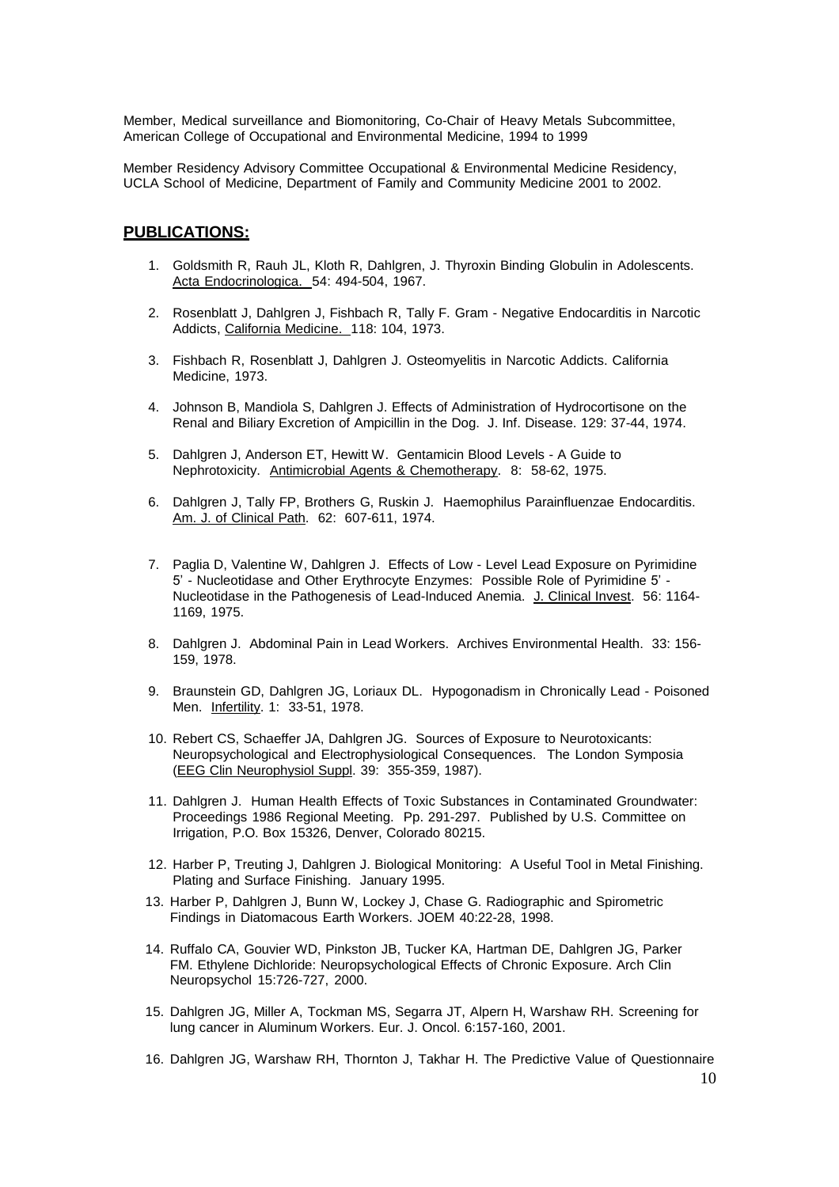Member, Medical surveillance and Biomonitoring, Co-Chair of Heavy Metals Subcommittee, American College of Occupational and Environmental Medicine, 1994 to 1999

Member Residency Advisory Committee Occupational & Environmental Medicine Residency, UCLA School of Medicine, Department of Family and Community Medicine 2001 to 2002.

#### **PUBLICATIONS:**

- 1. Goldsmith R, Rauh JL, Kloth R, Dahlgren, J. Thyroxin Binding Globulin in Adolescents. Acta Endocrinologica. 54: 494-504, 1967.
- 2. Rosenblatt J, Dahlgren J, Fishbach R, Tally F. Gram Negative Endocarditis in Narcotic Addicts, California Medicine. 118: 104, 1973.
- 3. Fishbach R, Rosenblatt J, Dahlgren J. Osteomyelitis in Narcotic Addicts. California Medicine, 1973.
- 4. Johnson B, Mandiola S, Dahlgren J. Effects of Administration of Hydrocortisone on the Renal and Biliary Excretion of Ampicillin in the Dog. J. Inf. Disease. 129: 37-44, 1974.
- 5. Dahlgren J, Anderson ET, Hewitt W. Gentamicin Blood Levels A Guide to Nephrotoxicity. Antimicrobial Agents & Chemotherapy. 8: 58-62, 1975.
- 6. Dahlgren J, Tally FP, Brothers G, Ruskin J. Haemophilus Parainfluenzae Endocarditis. Am. J. of Clinical Path. 62: 607-611, 1974.
- 7. Paglia D, Valentine W, Dahlgren J. Effects of Low Level Lead Exposure on Pyrimidine 5' - Nucleotidase and Other Erythrocyte Enzymes: Possible Role of Pyrimidine 5' - Nucleotidase in the Pathogenesis of Lead-Induced Anemia. J. Clinical Invest. 56: 1164- 1169, 1975.
- 8. Dahlgren J. Abdominal Pain in Lead Workers. Archives Environmental Health. 33: 156- 159, 1978.
- 9. Braunstein GD, Dahlgren JG, Loriaux DL. Hypogonadism in Chronically Lead Poisoned Men. Infertility. 1: 33-51, 1978.
- 10. Rebert CS, Schaeffer JA, Dahlgren JG. Sources of Exposure to Neurotoxicants: Neuropsychological and Electrophysiological Consequences. The London Symposia (EEG Clin Neurophysiol Suppl. 39: 355-359, 1987).
- 11. Dahlgren J. Human Health Effects of Toxic Substances in Contaminated Groundwater: Proceedings 1986 Regional Meeting. Pp. 291-297. Published by U.S. Committee on Irrigation, P.O. Box 15326, Denver, Colorado 80215.
- 12. Harber P, Treuting J, Dahlgren J. Biological Monitoring: A Useful Tool in Metal Finishing. Plating and Surface Finishing. January 1995.
- 13. Harber P, Dahlgren J, Bunn W, Lockey J, Chase G. Radiographic and Spirometric Findings in Diatomacous Earth Workers. JOEM 40:22-28, 1998.
- 14. Ruffalo CA, Gouvier WD, Pinkston JB, Tucker KA, Hartman DE, Dahlgren JG, Parker FM. Ethylene Dichloride: Neuropsychological Effects of Chronic Exposure. Arch Clin Neuropsychol 15:726-727, 2000.
- 15. Dahlgren JG, Miller A, Tockman MS, Segarra JT, Alpern H, Warshaw RH. Screening for lung cancer in Aluminum Workers. Eur. J. Oncol. 6:157-160, 2001.
- 16. Dahlgren JG, Warshaw RH, Thornton J, Takhar H. The Predictive Value of Questionnaire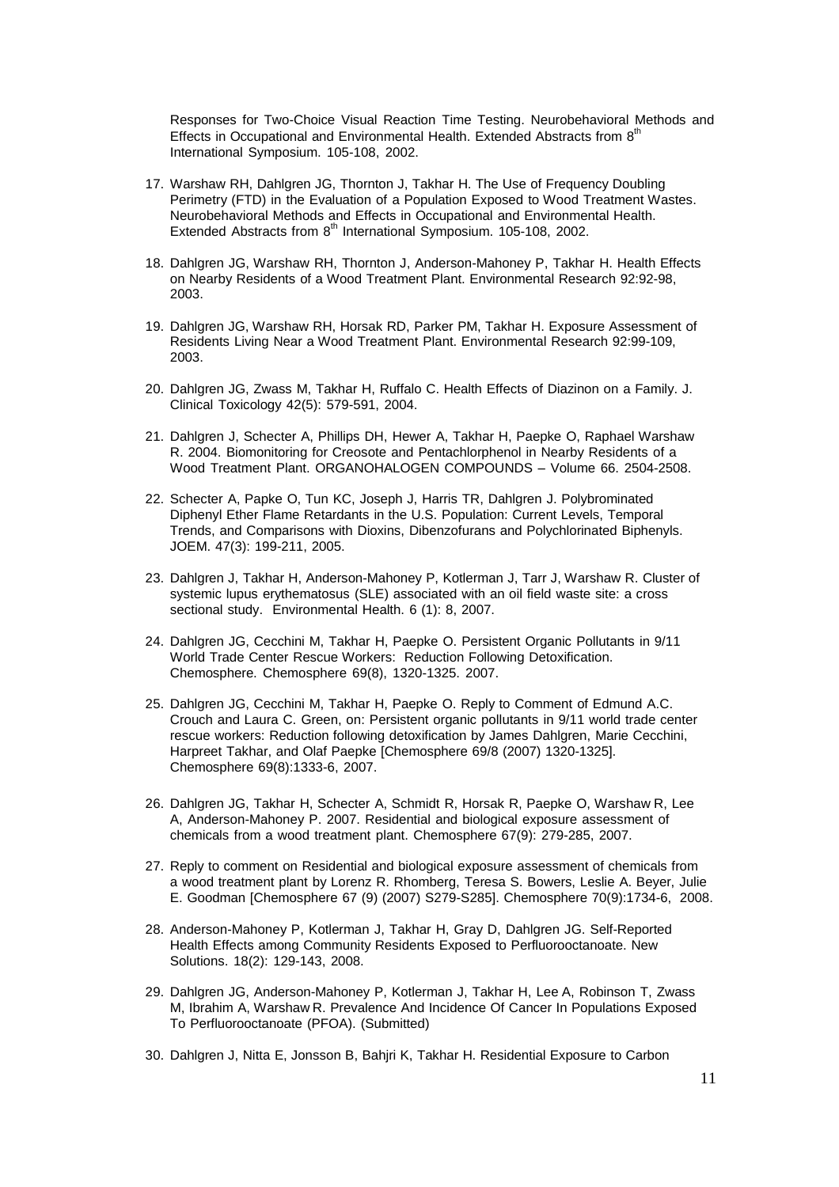Responses for Two-Choice Visual Reaction Time Testing. Neurobehavioral Methods and Effects in Occupational and Environmental Health. Extended Abstracts from 8<sup>th</sup> International Symposium. 105-108, 2002.

- 17. Warshaw RH, Dahlgren JG, Thornton J, Takhar H. The Use of Frequency Doubling Perimetry (FTD) in the Evaluation of a Population Exposed to Wood Treatment Wastes. Neurobehavioral Methods and Effects in Occupational and Environmental Health. Extended Abstracts from 8<sup>th</sup> International Symposium. 105-108, 2002.
- 18. Dahlgren JG, Warshaw RH, Thornton J, Anderson-Mahoney P, Takhar H. Health Effects on Nearby Residents of a Wood Treatment Plant. Environmental Research 92:92-98, 2003.
- 19. Dahlgren JG, Warshaw RH, Horsak RD, Parker PM, Takhar H. Exposure Assessment of Residents Living Near a Wood Treatment Plant. Environmental Research 92:99-109, 2003.
- 20. Dahlgren JG, Zwass M, Takhar H, Ruffalo C. Health Effects of Diazinon on a Family. J. Clinical Toxicology 42(5): 579-591, 2004.
- 21. Dahlgren J, Schecter A, Phillips DH, Hewer A, Takhar H, Paepke O, Raphael Warshaw R. 2004. Biomonitoring for Creosote and Pentachlorphenol in Nearby Residents of a Wood Treatment Plant. ORGANOHALOGEN COMPOUNDS – Volume 66. 2504-2508.
- 22. Schecter A, Papke O, Tun KC, Joseph J, Harris TR, Dahlgren J. Polybrominated Diphenyl Ether Flame Retardants in the U.S. Population: Current Levels, Temporal Trends, and Comparisons with Dioxins, Dibenzofurans and Polychlorinated Biphenyls. JOEM. 47(3): 199-211, 2005.
- 23. Dahlgren J, Takhar H, Anderson-Mahoney P, Kotlerman J, Tarr J, Warshaw R. Cluster of systemic lupus erythematosus (SLE) associated with an oil field waste site: a cross sectional study. Environmental Health. 6 (1): 8, 2007.
- 24. Dahlgren JG, Cecchini M, Takhar H, Paepke O. Persistent Organic Pollutants in 9/11 World Trade Center Rescue Workers: Reduction Following Detoxification. Chemosphere. Chemosphere 69(8), 1320-1325. 2007.
- 25. Dahlgren JG, Cecchini M, Takhar H, Paepke O. Reply to Comment of Edmund A.C. Crouch and Laura C. Green, on: Persistent organic pollutants in 9/11 world trade center rescue workers: Reduction following detoxification by James Dahlgren, Marie Cecchini, Harpreet Takhar, and Olaf Paepke [Chemosphere 69/8 (2007) 1320-1325]. Chemosphere 69(8):1333-6, 2007.
- 26. Dahlgren JG, Takhar H, Schecter A, Schmidt R, Horsak R, Paepke O, Warshaw R, Lee A, Anderson-Mahoney P. 2007. Residential and biological exposure assessment of chemicals from a wood treatment plant. Chemosphere 67(9): 279-285, 2007.
- 27. Reply to comment on Residential and biological exposure assessment of chemicals from a wood treatment plant by Lorenz R. Rhomberg, Teresa S. Bowers, Leslie A. Beyer, Julie E. Goodman [Chemosphere 67 (9) (2007) S279-S285]. Chemosphere 70(9):1734-6, 2008.
- 28. Anderson-Mahoney P, Kotlerman J, Takhar H, Gray D, Dahlgren JG. Self-Reported Health Effects among Community Residents Exposed to Perfluorooctanoate. New Solutions. 18(2): 129-143, 2008.
- 29. Dahlgren JG, Anderson-Mahoney P, Kotlerman J, Takhar H, Lee A, Robinson T, Zwass M, Ibrahim A, Warshaw R. Prevalence And Incidence Of Cancer In Populations Exposed To Perfluorooctanoate (PFOA). (Submitted)
- 30. Dahlgren J, Nitta E, Jonsson B, Bahjri K, Takhar H. Residential Exposure to Carbon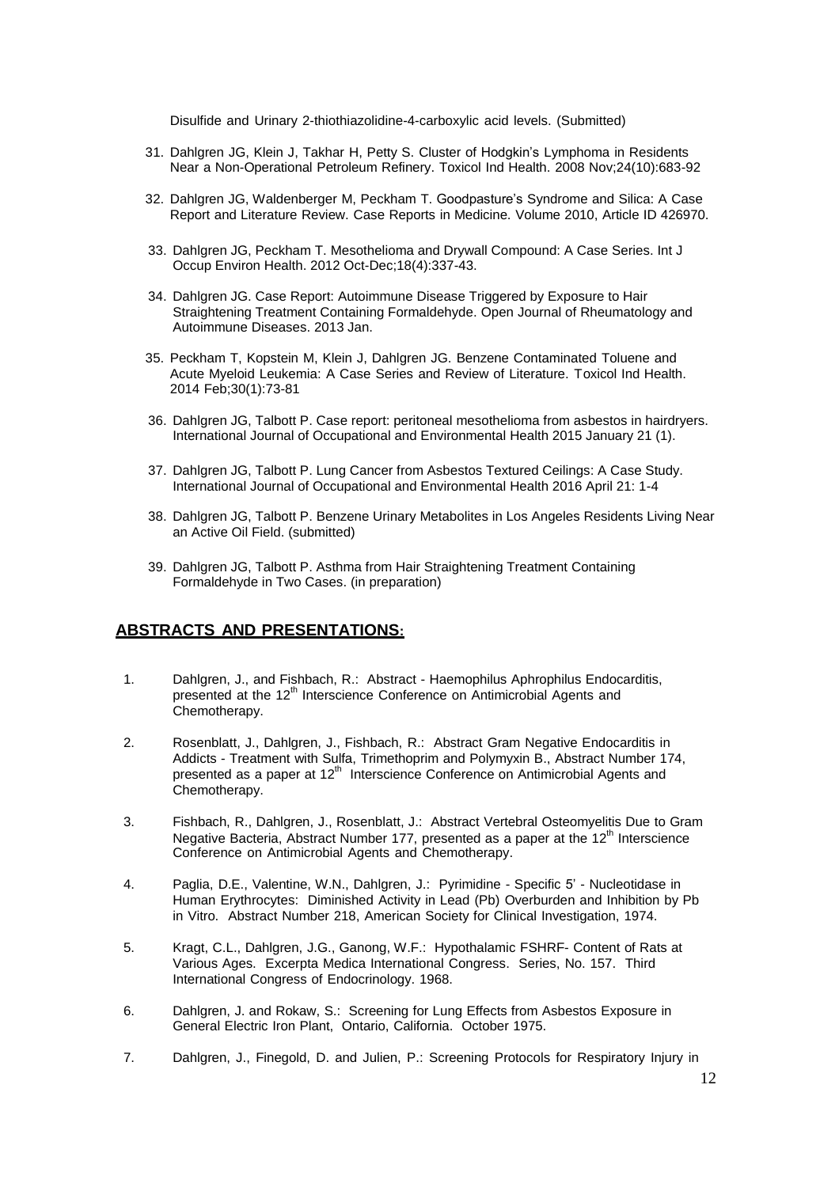Disulfide and Urinary 2-thiothiazolidine-4-carboxylic acid levels. (Submitted)

- 31. Dahlgren JG, Klein J, Takhar H, Petty S. Cluster of Hodgkin's Lymphoma in Residents Near a Non-Operational Petroleum Refinery. Toxicol Ind Health. 2008 Nov;24(10):683-92
- 32. Dahlgren JG, Waldenberger M, Peckham T. Goodpasture's Syndrome and Silica: A Case Report and Literature Review. Case Reports in Medicine. Volume 2010, Article ID 426970.
- 33. Dahlgren JG, Peckham T. Mesothelioma and Drywall Compound: A Case Series. Int J Occup Environ Health. 2012 Oct-Dec;18(4):337-43.
- 34. Dahlgren JG. [Case Report: Autoimmune Disease Triggered by Exposure to Hair](https://www.researchgate.net/publication/269795607_Case_Report_Autoimmune_Disease_Triggered_by_Exposure_to_Hair_Straightening_Treatment_Containing_Formaldehyde)  [Straightening Treatment Containing Formaldehyde.](https://www.researchgate.net/publication/269795607_Case_Report_Autoimmune_Disease_Triggered_by_Exposure_to_Hair_Straightening_Treatment_Containing_Formaldehyde) Open Journal of Rheumatology and Autoimmune Diseases. 2013 Jan.
- 35. Peckham T, Kopstein M, Klein J, Dahlgren JG. Benzene Contaminated Toluene and Acute Myeloid Leukemia: A Case Series and Review of Literature. Toxicol Ind Health. 2014 Feb;30(1):73-81
- 36. Dahlgren JG, Talbott P. Case report: peritoneal mesothelioma from asbestos in hairdryers. International Journal of Occupational and Environmental Health 2015 January 21 (1).
- 37. Dahlgren JG, Talbott P. Lung Cancer from Asbestos Textured Ceilings: A Case Study. International Journal of Occupational and Environmental Health 2016 April 21: 1-4
- 38. Dahlgren JG, Talbott P. Benzene Urinary Metabolites in Los Angeles Residents Living Near an Active Oil Field. (submitted)
- 39. Dahlgren JG, Talbott P. Asthma from Hair Straightening Treatment Containing Formaldehyde in Two Cases. (in preparation)

### **ABSTRACTS AND PRESENTATIONS:**

- 1. Dahlgren, J., and Fishbach, R.: Abstract Haemophilus Aphrophilus Endocarditis, presented at the 12<sup>th</sup> Interscience Conference on Antimicrobial Agents and Chemotherapy.
- 2. Rosenblatt, J., Dahlgren, J., Fishbach, R.: Abstract Gram Negative Endocarditis in Addicts - Treatment with Sulfa, Trimethoprim and Polymyxin B., Abstract Number 174, presented as a paper at 12<sup>th</sup> Interscience Conference on Antimicrobial Agents and Chemotherapy.
- 3. Fishbach, R., Dahlgren, J., Rosenblatt, J.: Abstract Vertebral Osteomyelitis Due to Gram Negative Bacteria, Abstract Number 177, presented as a paper at the  $12<sup>th</sup>$  Interscience Conference on Antimicrobial Agents and Chemotherapy.
- 4. Paglia, D.E., Valentine, W.N., Dahlgren, J.: Pyrimidine Specific 5' Nucleotidase in Human Erythrocytes: Diminished Activity in Lead (Pb) Overburden and Inhibition by Pb in Vitro. Abstract Number 218, American Society for Clinical Investigation, 1974.
- 5. Kragt, C.L., Dahlgren, J.G., Ganong, W.F.: Hypothalamic FSHRF- Content of Rats at Various Ages. Excerpta Medica International Congress. Series, No. 157. Third International Congress of Endocrinology. 1968.
- 6. Dahlgren, J. and Rokaw, S.: Screening for Lung Effects from Asbestos Exposure in General Electric Iron Plant, Ontario, California. October 1975.
- 7. Dahlgren, J., Finegold, D. and Julien, P.: Screening Protocols for Respiratory Injury in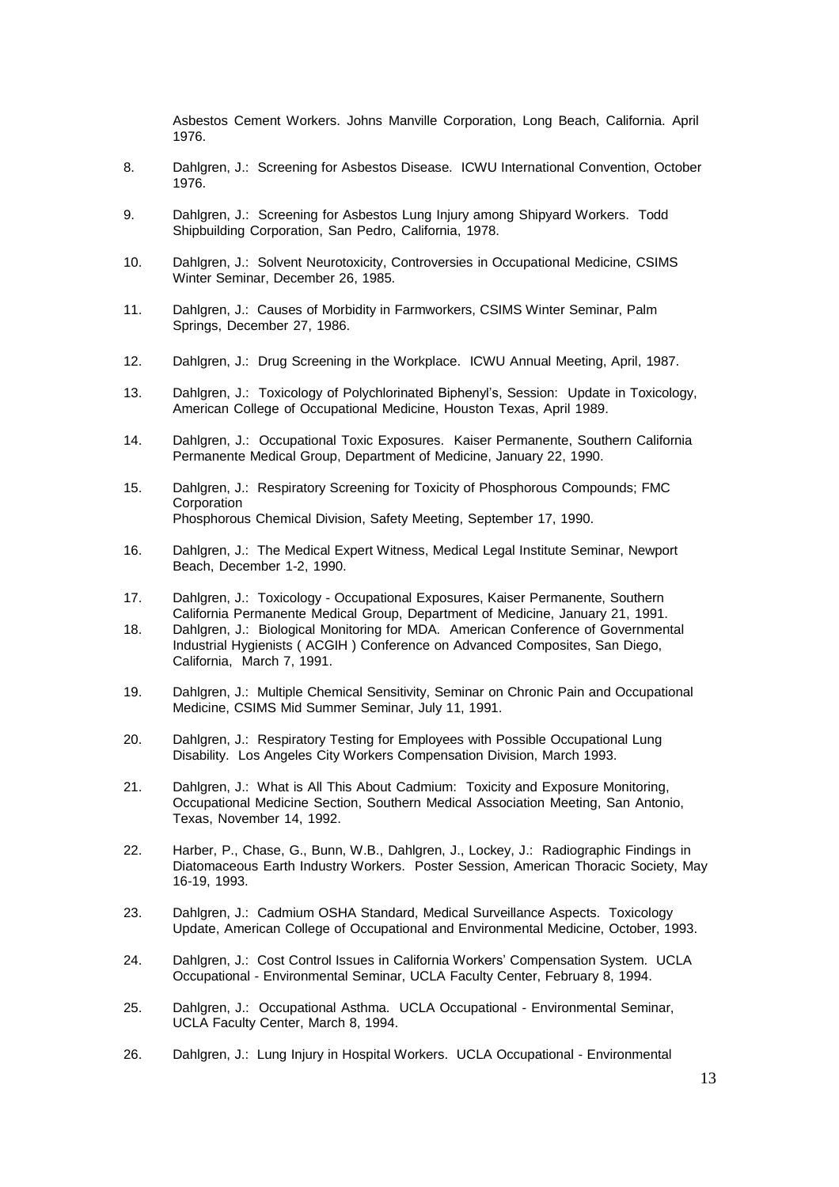Asbestos Cement Workers. Johns Manville Corporation, Long Beach, California. April 1976.

- 8. Dahlgren, J.: Screening for Asbestos Disease. ICWU International Convention, October 1976.
- 9. Dahlgren, J.: Screening for Asbestos Lung Injury among Shipyard Workers. Todd Shipbuilding Corporation, San Pedro, California, 1978.
- 10. Dahlgren, J.: Solvent Neurotoxicity, Controversies in Occupational Medicine, CSIMS Winter Seminar, December 26, 1985.
- 11. Dahlgren, J.: Causes of Morbidity in Farmworkers, CSIMS Winter Seminar, Palm Springs, December 27, 1986.
- 12. Dahlgren, J.: Drug Screening in the Workplace. ICWU Annual Meeting, April, 1987.
- 13. Dahlgren, J.: Toxicology of Polychlorinated Biphenyl's, Session: Update in Toxicology, American College of Occupational Medicine, Houston Texas, April 1989.
- 14. Dahlgren, J.: Occupational Toxic Exposures. Kaiser Permanente, Southern California Permanente Medical Group, Department of Medicine, January 22, 1990.
- 15. Dahlgren, J.: Respiratory Screening for Toxicity of Phosphorous Compounds; FMC **Corporation** Phosphorous Chemical Division, Safety Meeting, September 17, 1990.
- 16. Dahlgren, J.: The Medical Expert Witness, Medical Legal Institute Seminar, Newport Beach, December 1-2, 1990.
- 17. Dahlgren, J.: Toxicology Occupational Exposures, Kaiser Permanente, Southern California Permanente Medical Group, Department of Medicine, January 21, 1991.
- 18. Dahlgren, J.: Biological Monitoring for MDA. American Conference of Governmental Industrial Hygienists ( ACGIH ) Conference on Advanced Composites, San Diego, California, March 7, 1991.
- 19. Dahlgren, J.: Multiple Chemical Sensitivity, Seminar on Chronic Pain and Occupational Medicine, CSIMS Mid Summer Seminar, July 11, 1991.
- 20. Dahlgren, J.: Respiratory Testing for Employees with Possible Occupational Lung Disability. Los Angeles City Workers Compensation Division, March 1993.
- 21. Dahlgren, J.: What is All This About Cadmium: Toxicity and Exposure Monitoring, Occupational Medicine Section, Southern Medical Association Meeting, San Antonio, Texas, November 14, 1992.
- 22. Harber, P., Chase, G., Bunn, W.B., Dahlgren, J., Lockey, J.: Radiographic Findings in Diatomaceous Earth Industry Workers. Poster Session, American Thoracic Society, May 16-19, 1993.
- 23. Dahlgren, J.: Cadmium OSHA Standard, Medical Surveillance Aspects. Toxicology Update, American College of Occupational and Environmental Medicine, October, 1993.
- 24. Dahlgren, J.: Cost Control Issues in California Workers' Compensation System. UCLA Occupational - Environmental Seminar, UCLA Faculty Center, February 8, 1994.
- 25. Dahlgren, J.: Occupational Asthma. UCLA Occupational Environmental Seminar, UCLA Faculty Center, March 8, 1994.
- 26. Dahlgren, J.: Lung Injury in Hospital Workers. UCLA Occupational Environmental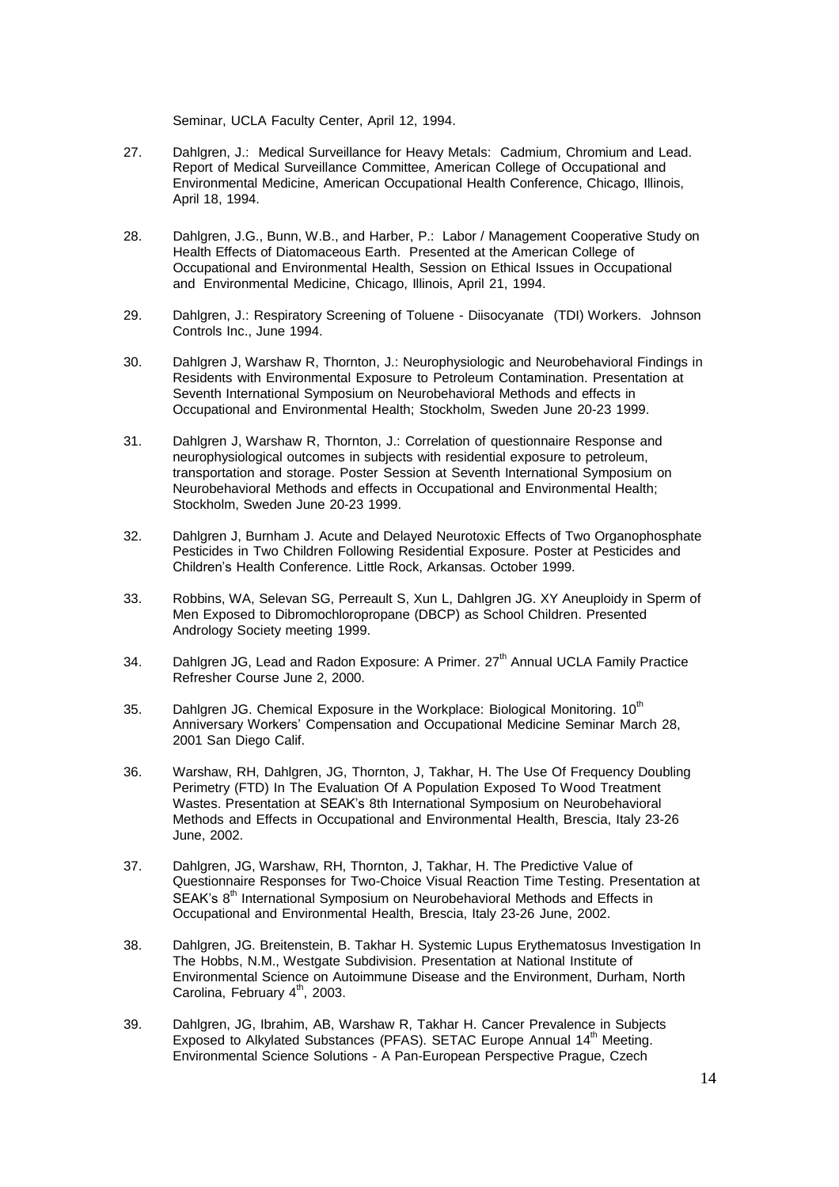Seminar, UCLA Faculty Center, April 12, 1994.

- 27. Dahlgren, J.: Medical Surveillance for Heavy Metals: Cadmium, Chromium and Lead. Report of Medical Surveillance Committee, American College of Occupational and Environmental Medicine, American Occupational Health Conference, Chicago, Illinois, April 18, 1994.
- 28. Dahlgren, J.G., Bunn, W.B., and Harber, P.: Labor / Management Cooperative Study on Health Effects of Diatomaceous Earth. Presented at the American College of Occupational and Environmental Health, Session on Ethical Issues in Occupational and Environmental Medicine, Chicago, Illinois, April 21, 1994.
- 29. Dahlgren, J.: Respiratory Screening of Toluene Diisocyanate (TDI) Workers. Johnson Controls Inc., June 1994.
- 30. Dahlgren J, Warshaw R, Thornton, J.: Neurophysiologic and Neurobehavioral Findings in Residents with Environmental Exposure to Petroleum Contamination. Presentation at Seventh International Symposium on Neurobehavioral Methods and effects in Occupational and Environmental Health; Stockholm, Sweden June 20-23 1999.
- 31. Dahlgren J, Warshaw R, Thornton, J.: Correlation of questionnaire Response and neurophysiological outcomes in subjects with residential exposure to petroleum, transportation and storage. Poster Session at Seventh International Symposium on Neurobehavioral Methods and effects in Occupational and Environmental Health; Stockholm, Sweden June 20-23 1999.
- 32. Dahlgren J, Burnham J. Acute and Delayed Neurotoxic Effects of Two Organophosphate Pesticides in Two Children Following Residential Exposure. Poster at Pesticides and Children's Health Conference. Little Rock, Arkansas. October 1999.
- 33. Robbins, WA, Selevan SG, Perreault S, Xun L, Dahlgren JG. XY Aneuploidy in Sperm of Men Exposed to Dibromochloropropane (DBCP) as School Children. Presented Andrology Society meeting 1999.
- 34. Dahlgren JG, Lead and Radon Exposure: A Primer. 27<sup>th</sup> Annual UCLA Family Practice Refresher Course June 2, 2000.
- 35. Dahlgren JG. Chemical Exposure in the Workplace: Biological Monitoring. 10<sup>th</sup> Anniversary Workers' Compensation and Occupational Medicine Seminar March 28, 2001 San Diego Calif.
- 36. Warshaw, RH, Dahlgren, JG, Thornton, J, Takhar, H. The Use Of Frequency Doubling Perimetry (FTD) In The Evaluation Of A Population Exposed To Wood Treatment Wastes. Presentation at SEAK's 8th International Symposium on Neurobehavioral Methods and Effects in Occupational and Environmental Health, Brescia, Italy 23-26 June, 2002.
- 37. Dahlgren, JG, Warshaw, RH, Thornton, J, Takhar, H. The Predictive Value of Questionnaire Responses for Two-Choice Visual Reaction Time Testing. Presentation at SEAK's 8<sup>th</sup> International Symposium on Neurobehavioral Methods and Effects in Occupational and Environmental Health, Brescia, Italy 23-26 June, 2002.
- 38. Dahlgren, JG. Breitenstein, B. Takhar H. Systemic Lupus Erythematosus Investigation In The Hobbs, N.M., Westgate Subdivision. Presentation at National Institute of Environmental Science on Autoimmune Disease and the Environment, Durham, North Carolina, February 4<sup>th</sup>, 2003.
- 39. Dahlgren, JG, Ibrahim, AB, Warshaw R, Takhar H. Cancer Prevalence in Subjects Exposed to Alkylated Substances (PFAS). SETAC Europe Annual 14<sup>th</sup> Meeting. Environmental Science Solutions - A Pan-European Perspective Prague, Czech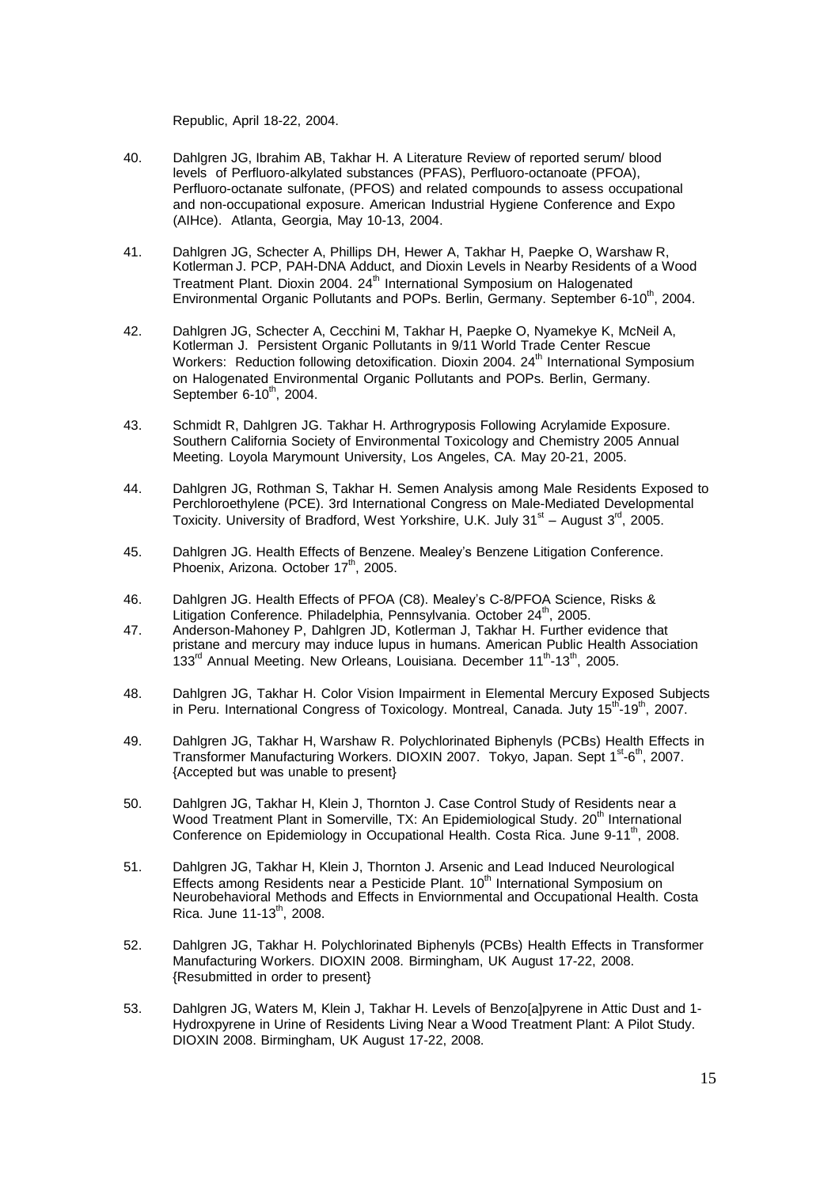Republic, April 18-22, 2004.

- 40. Dahlgren JG, Ibrahim AB, Takhar H. A Literature Review of reported serum/ blood levels of Perfluoro-alkylated substances (PFAS), Perfluoro-octanoate (PFOA), Perfluoro-octanate sulfonate, (PFOS) and related compounds to assess occupational and non-occupational exposure. American Industrial Hygiene Conference and Expo (AIHce). Atlanta, Georgia, May 10-13, 2004.
- 41. Dahlgren JG, Schecter A, Phillips DH, Hewer A, Takhar H, Paepke O, Warshaw R, Kotlerman J. PCP, PAH-DNA Adduct, and Dioxin Levels in Nearby Residents of a Wood Treatment Plant. Dioxin 2004. 24<sup>th</sup> International Symposium on Halogenated Environmental Organic Pollutants and POPs. Berlin, Germany. September 6-10<sup>th</sup>, 2004.
- 42. Dahlgren JG, Schecter A, Cecchini M, Takhar H, Paepke O, Nyamekye K, McNeil A, Kotlerman J. Persistent Organic Pollutants in 9/11 World Trade Center Rescue Workers: Reduction following detoxification. Dioxin 2004. 24<sup>th</sup> International Symposium on Halogenated Environmental Organic Pollutants and POPs. Berlin, Germany. September 6-10<sup>th</sup>, 2004.
- 43. Schmidt R, Dahlgren JG. Takhar H. Arthrogryposis Following Acrylamide Exposure. Southern California Society of Environmental Toxicology and Chemistry 2005 Annual Meeting. Loyola Marymount University, Los Angeles, CA. May 20-21, 2005.
- 44. Dahlgren JG, Rothman S, Takhar H. Semen Analysis among Male Residents Exposed to Perchloroethylene (PCE). 3rd International Congress on Male-Mediated Developmental Toxicity. University of Bradford, West Yorkshire, U.K. July 31<sup>st</sup> – August 3<sup>rd</sup>, 2005.
- 45. Dahlgren JG. Health Effects of Benzene. Mealey's Benzene Litigation Conference. Phoenix, Arizona. October 17<sup>th</sup>, 2005.
- 46. Dahlgren JG. Health Effects of PFOA (C8). Mealey's C-8/PFOA Science, Risks & Litigation Conference. Philadelphia, Pennsylvania. October 24<sup>th</sup>, 2005.
- 47. Anderson-Mahoney P, Dahlgren JD, Kotlerman J, Takhar H. Further evidence that pristane and mercury may induce lupus in humans. American Public Health Association 133<sup>rd</sup> Annual Meeting. New Orleans, Louisiana. December 11<sup>th</sup>-13<sup>th</sup>, 2005.
- 48. Dahlgren JG, Takhar H. Color Vision Impairment in Elemental Mercury Exposed Subjects in Peru. International Congress of Toxicology. Montreal, Canada. Juty 15<sup>th</sup>-19<sup>th</sup>, 2007.
- 49. Dahlgren JG, Takhar H, Warshaw R. Polychlorinated Biphenyls (PCBs) Health Effects in Transformer Manufacturing Workers. DIOXIN 2007. Tokyo, Japan. Sept 1<sup>st</sup>-6<sup>th</sup>, 2007. {Accepted but was unable to present}
- 50. Dahlgren JG, Takhar H, Klein J, Thornton J. Case Control Study of Residents near a Wood Treatment Plant in Somerville, TX: An Epidemiological Study. 20<sup>th</sup> International Conference on Epidemiology in Occupational Health. Costa Rica. June 9-11<sup>th</sup>, 2008.
- 51. Dahlgren JG, Takhar H, Klein J, Thornton J. Arsenic and Lead Induced Neurological Effects among Residents near a Pesticide Plant.  $10<sup>th</sup>$  International Symposium on Neurobehavioral Methods and Effects in Enviornmental and Occupational Health. Costa Rica. June 11-13<sup>th</sup>, 2008.
- 52. Dahlgren JG, Takhar H. Polychlorinated Biphenyls (PCBs) Health Effects in Transformer Manufacturing Workers. DIOXIN 2008. Birmingham, UK August 17-22, 2008. {Resubmitted in order to present}
- 53. Dahlgren JG, Waters M, Klein J, Takhar H. Levels of Benzo[a]pyrene in Attic Dust and 1- Hydroxpyrene in Urine of Residents Living Near a Wood Treatment Plant: A Pilot Study. DIOXIN 2008. Birmingham, UK August 17-22, 2008.